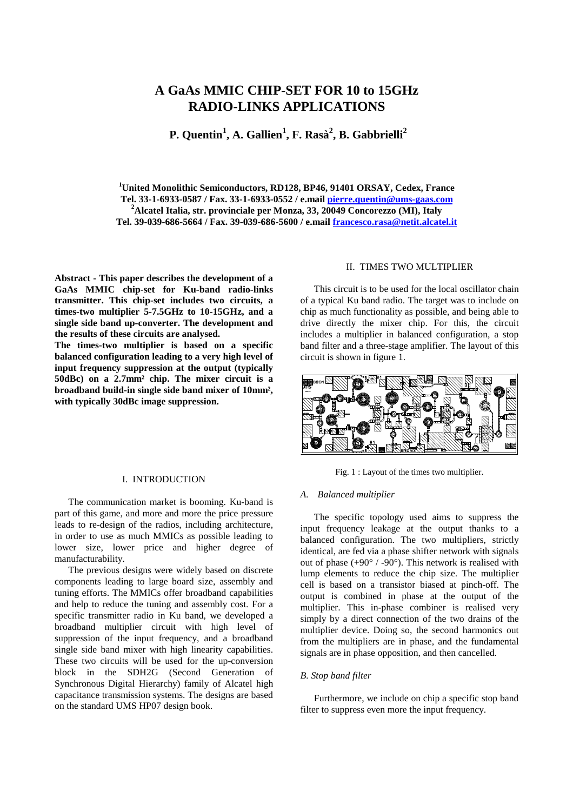# **A GaAs MMIC CHIP-SET FOR 10 to 15GHz RADIO-LINKS APPLICATIONS**

P. Quentin<sup>1</sup>, A. Gallien<sup>1</sup>, F. Rasà<sup>2</sup>, B. Gabbrielli<sup>2</sup>

**1 United Monolithic Semiconductors, RD128, BP46, 91401 ORSAY, Cedex, France Tel. 33-1-6933-0587 / Fax. 33-1-6933-0552 / e.mail [pierre.quentin@ums-gaas.com](mailto:pierre.quentin@ums-gaas.com) <sup>2</sup> Alcatel Italia, str. provinciale per Monza, 33, 20049 Concorezzo (MI), Italy Tel. 39-039-686-5664 / Fax. 39-039-686-5600 / e.mail [francesco.rasa@netit.alcatel.it](mailto:francesco.rasa@netit.alcatel.it)**

**Abstract - This paper describes the development of a GaAs MMIC chip-set for Ku-band radio-links transmitter. This chip-set includes two circuits, a times-two multiplier 5-7.5GHz to 10-15GHz, and a single side band up-converter. The development and the results of these circuits are analysed.**

**The times-two multiplier is based on a specific balanced configuration leading to a very high level of input frequency suppression at the output (typically 50dBc) on a 2.7mm² chip. The mixer circuit is a broadband build-in single side band mixer of 10mm², with typically 30dBc image suppression.**

# I. INTRODUCTION

The communication market is booming. Ku-band is part of this game, and more and more the price pressure leads to re-design of the radios, including architecture, in order to use as much MMICs as possible leading to lower size, lower price and higher degree of manufacturability.

The previous designs were widely based on discrete components leading to large board size, assembly and tuning efforts. The MMICs offer broadband capabilities and help to reduce the tuning and assembly cost. For a specific transmitter radio in Ku band, we developed a broadband multiplier circuit with high level of suppression of the input frequency, and a broadband single side band mixer with high linearity capabilities. These two circuits will be used for the up-conversion block in the SDH2G (Second Generation of Synchronous Digital Hierarchy) family of Alcatel high capacitance transmission systems. The designs are based on the standard UMS HP07 design book.

## II. TIMES TWO MULTIPLIER

This circuit is to be used for the local oscillator chain of a typical Ku band radio. The target was to include on chip as much functionality as possible, and being able to drive directly the mixer chip. For this, the circuit includes a multiplier in balanced configuration, a stop band filter and a three-stage amplifier. The layout of this circuit is shown in figure 1.



Fig. 1 : Layout of the times two multiplier.

#### *A. Balanced multiplier*

The specific topology used aims to suppress the input frequency leakage at the output thanks to a balanced configuration. The two multipliers, strictly identical, are fed via a phase shifter network with signals out of phase (+90° / -90°). This network is realised with lump elements to reduce the chip size. The multiplier cell is based on a transistor biased at pinch-off. The output is combined in phase at the output of the multiplier. This in-phase combiner is realised very simply by a direct connection of the two drains of the multiplier device. Doing so, the second harmonics out from the multipliers are in phase, and the fundamental signals are in phase opposition, and then cancelled.

## *B. Stop band filter*

Furthermore, we include on chip a specific stop band filter to suppress even more the input frequency.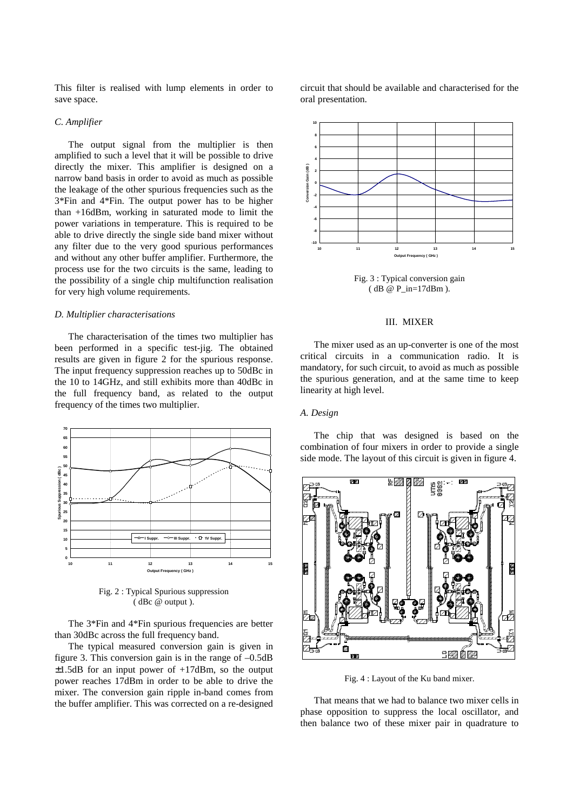This filter is realised with lump elements in order to save space.

# *C. Amplifier*

The output signal from the multiplier is then amplified to such a level that it will be possible to drive directly the mixer. This amplifier is designed on a narrow band basis in order to avoid as much as possible the leakage of the other spurious frequencies such as the 3\*Fin and 4\*Fin. The output power has to be higher than +16dBm, working in saturated mode to limit the power variations in temperature. This is required to be able to drive directly the single side band mixer without any filter due to the very good spurious performances and without any other buffer amplifier. Furthermore, the process use for the two circuits is the same, leading to the possibility of a single chip multifunction realisation for very high volume requirements.

### *D. Multiplier characterisations*

The characterisation of the times two multiplier has been performed in a specific test-jig. The obtained results are given in figure 2 for the spurious response. The input frequency suppression reaches up to 50dBc in the 10 to 14GHz, and still exhibits more than 40dBc in the full frequency band, as related to the output frequency of the times two multiplier.



Fig. 2 : Typical Spurious suppression ( dBc @ output ).

The 3\*Fin and 4\*Fin spurious frequencies are better than 30dBc across the full frequency band.

The typical measured conversion gain is given in figure 3. This conversion gain is in the range of –0.5dB  $\pm 1.5$ dB for an input power of  $+17$ dBm, so the output power reaches 17dBm in order to be able to drive the mixer. The conversion gain ripple in-band comes from the buffer amplifier. This was corrected on a re-designed

circuit that should be available and characterised for the oral presentation.



Fig. 3 : Typical conversion gain ( dB @ P\_in=17dBm ).

## III. MIXER

The mixer used as an up-converter is one of the most critical circuits in a communication radio. It is mandatory, for such circuit, to avoid as much as possible the spurious generation, and at the same time to keep linearity at high level.

### *A. Design*

The chip that was designed is based on the combination of four mixers in order to provide a single side mode. The layout of this circuit is given in figure 4.



Fig. 4 : Layout of the Ku band mixer.

That means that we had to balance two mixer cells in phase opposition to suppress the local oscillator, and then balance two of these mixer pair in quadrature to